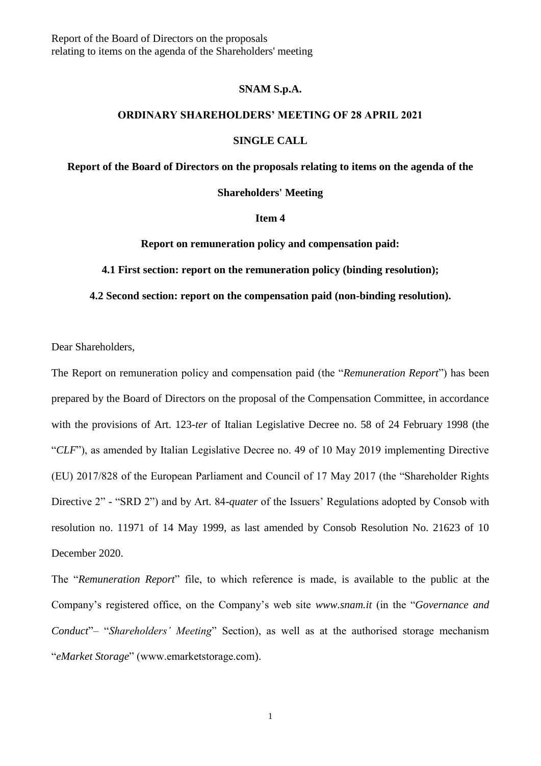Report of the Board of Directors on the proposals relating to items on the agenda of the Shareholders' meeting

## **SNAM S.p.A.**

# **ORDINARY SHAREHOLDERS' MEETING OF 28 APRIL 2021**

### **SINGLE CALL**

**Report of the Board of Directors on the proposals relating to items on the agenda of the** 

## **Shareholders' Meeting**

# **Item 4**

**Report on remuneration policy and compensation paid:**

**4.1 First section: report on the remuneration policy (binding resolution);**

#### **4.2 Second section: report on the compensation paid (non-binding resolution).**

Dear Shareholders,

The Report on remuneration policy and compensation paid (the "*Remuneration Report*") has been prepared by the Board of Directors on the proposal of the Compensation Committee, in accordance with the provisions of Art. 123-*ter* of Italian Legislative Decree no. 58 of 24 February 1998 (the "*CLF*"), as amended by Italian Legislative Decree no. 49 of 10 May 2019 implementing Directive (EU) 2017/828 of the European Parliament and Council of 17 May 2017 (the "Shareholder Rights Directive 2" - "SRD 2") and by Art. 84-*quater* of the Issuers' Regulations adopted by Consob with resolution no. 11971 of 14 May 1999, as last amended by Consob Resolution No. 21623 of 10 December 2020.

The "*Remuneration Report*" file, to which reference is made, is available to the public at the Company's registered office, on the Company's web site *www.snam.it* (in the "*Governance and Conduct*"– "*Shareholders' Meeting*" Section), as well as at the authorised storage mechanism "*eMarket Storage*" (www.emarketstorage.com).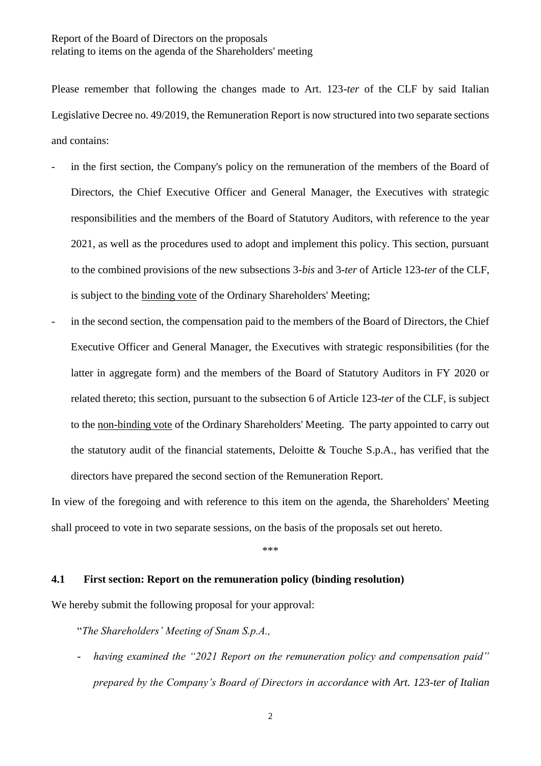Please remember that following the changes made to Art. 123-*ter* of the CLF by said Italian Legislative Decree no. 49/2019, the Remuneration Report is now structured into two separate sections and contains:

- in the first section, the Company's policy on the remuneration of the members of the Board of Directors, the Chief Executive Officer and General Manager, the Executives with strategic responsibilities and the members of the Board of Statutory Auditors, with reference to the year 2021, as well as the procedures used to adopt and implement this policy. This section, pursuant to the combined provisions of the new subsections 3-*bis* and 3-*ter* of Article 123-*ter* of the CLF, is subject to the binding vote of the Ordinary Shareholders' Meeting;
- in the second section, the compensation paid to the members of the Board of Directors, the Chief Executive Officer and General Manager, the Executives with strategic responsibilities (for the latter in aggregate form) and the members of the Board of Statutory Auditors in FY 2020 or related thereto; this section, pursuant to the subsection 6 of Article 123-*ter* of the CLF, is subject to the non-binding vote of the Ordinary Shareholders' Meeting. The party appointed to carry out the statutory audit of the financial statements, Deloitte & Touche S.p.A., has verified that the directors have prepared the second section of the Remuneration Report.

In view of the foregoing and with reference to this item on the agenda, the Shareholders' Meeting shall proceed to vote in two separate sessions, on the basis of the proposals set out hereto.

\*\*\*

# **4.1 First section: Report on the remuneration policy (binding resolution)**

We hereby submit the following proposal for your approval:

"*The Shareholders' Meeting of Snam S.p.A.,*

having examined the "2021 Report on the remuneration policy and compensation paid" *prepared by the Company's Board of Directors in accordance with Art. 123-ter of Italian*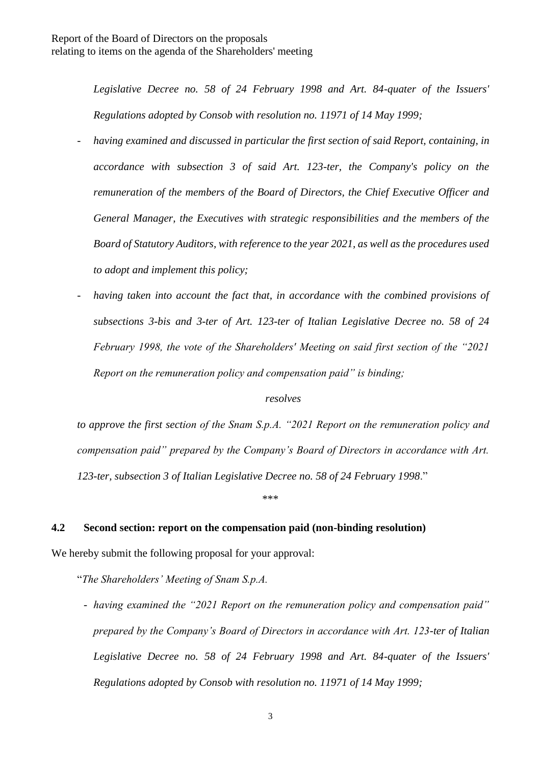*Legislative Decree no. 58 of 24 February 1998 and Art. 84-quater of the Issuers' Regulations adopted by Consob with resolution no. 11971 of 14 May 1999;*

- having examined and discussed in particular the first section of said Report, containing, in *accordance with subsection 3 of said Art. 123-ter, the Company's policy on the remuneration of the members of the Board of Directors, the Chief Executive Officer and General Manager, the Executives with strategic responsibilities and the members of the Board of Statutory Auditors, with reference to the year 2021, as well as the procedures used to adopt and implement this policy;*
- having taken into account the fact that, in accordance with the combined provisions of *subsections 3-bis and 3-ter of Art. 123-ter of Italian Legislative Decree no. 58 of 24 February 1998, the vote of the Shareholders' Meeting on said first section of the "2021 Report on the remuneration policy and compensation paid" is binding;*

# *resolves*

*to approve the first section of the Snam S.p.A. "2021 Report on the remuneration policy and compensation paid" prepared by the Company's Board of Directors in accordance with Art. 123-ter, subsection 3 of Italian Legislative Decree no. 58 of 24 February 1998*."

\*\*\*

# **4.2 Second section: report on the compensation paid (non-binding resolution)**

We hereby submit the following proposal for your approval:

"*The Shareholders' Meeting of Snam S.p.A.*

- *having examined the "2021 Report on the remuneration policy and compensation paid" prepared by the Company's Board of Directors in accordance with Art. 123-ter of Italian Legislative Decree no. 58 of 24 February 1998 and Art. 84-quater of the Issuers' Regulations adopted by Consob with resolution no. 11971 of 14 May 1999;*